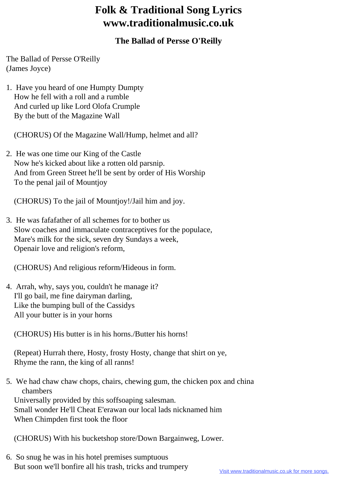## **Folk & Traditional Song Lyrics www.traditionalmusic.co.uk**

## **The Ballad of Persse O'Reilly**

The Ballad of Persse O'Reilly (James Joyce)

1. Have you heard of one Humpty Dumpty How he fell with a roll and a rumble And curled up like Lord Olofa Crumple By the butt of the Magazine Wall

(CHORUS) Of the Magazine Wall/Hump, helmet and all?

2. He was one time our King of the Castle Now he's kicked about like a rotten old parsnip. And from Green Street he'll be sent by order of His Worship To the penal jail of Mountjoy

(CHORUS) To the jail of Mountjoy!/Jail him and joy.

3. He was fafafather of all schemes for to bother us Slow coaches and immaculate contraceptives for the populace, Mare's milk for the sick, seven dry Sundays a week, Openair love and religion's reform,

(CHORUS) And religious reform/Hideous in form.

4. Arrah, why, says you, couldn't he manage it? I'll go bail, me fine dairyman darling, Like the bumping bull of the Cassidys All your butter is in your horns

(CHORUS) His butter is in his horns./Butter his horns!

 (Repeat) Hurrah there, Hosty, frosty Hosty, change that shirt on ye, Rhyme the rann, the king of all ranns!

5. We had chaw chaw chops, chairs, chewing gum, the chicken pox and china chambers Universally provided by this soffsoaping salesman. Small wonder He'll Cheat E'erawan our local lads nicknamed him When Chimpden first took the floor

(CHORUS) With his bucketshop store/Down Bargainweg, Lower.

6. So snug he was in his hotel premises sumptuous But soon we'll bonfire all his trash, tricks and trumpery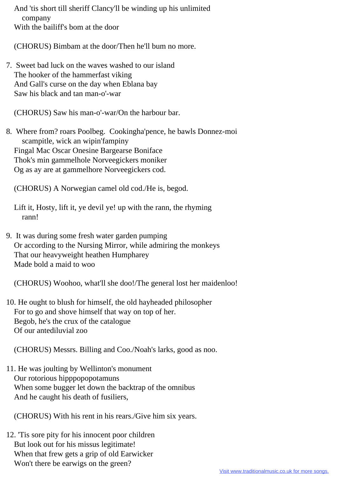And 'tis short till sheriff Clancy'll be winding up his unlimited company With the bailiff's bom at the door

(CHORUS) Bimbam at the door/Then he'll bum no more.

7. Sweet bad luck on the waves washed to our island The hooker of the hammerfast viking And Gall's curse on the day when Eblana bay Saw his black and tan man-o'-war

(CHORUS) Saw his man-o'-war/On the harbour bar.

8. Where from? roars Poolbeg. Cookingha'pence, he bawls Donnez-moi scampitle, wick an wipin'fampiny Fingal Mac Oscar Onesine Bargearse Boniface Thok's min gammelhole Norveegickers moniker Og as ay are at gammelhore Norveegickers cod.

(CHORUS) A Norwegian camel old cod./He is, begod.

Lift it, Hosty, lift it, ye devil ye! up with the rann, the rhyming rann!

9. It was during some fresh water garden pumping Or according to the Nursing Mirror, while admiring the monkeys That our heavyweight heathen Humpharey Made bold a maid to woo

(CHORUS) Woohoo, what'll she doo!/The general lost her maidenloo!

10. He ought to blush for himself, the old hayheaded philosopher For to go and shove himself that way on top of her. Begob, he's the crux of the catalogue Of our antediluvial zoo

(CHORUS) Messrs. Billing and Coo./Noah's larks, good as noo.

11. He was joulting by Wellinton's monument Our rotorious hipppopopotamuns When some bugger let down the backtrap of the omnibus And he caught his death of fusiliers,

(CHORUS) With his rent in his rears./Give him six years.

12. 'Tis sore pity for his innocent poor children But look out for his missus legitimate! When that frew gets a grip of old Earwicker Won't there be earwigs on the green?